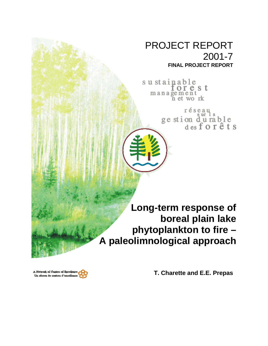# PROJECT REPORT 2001-7 **FINAL PROJECT REPORT**

sustainable orest management<br>net work

> réseau ge stion du rable<br>desforêts

**Long-term response of boreal plain lake phytoplankton to fire – A paleolimnological approach**

**T. Charette and E.E. Prepas**

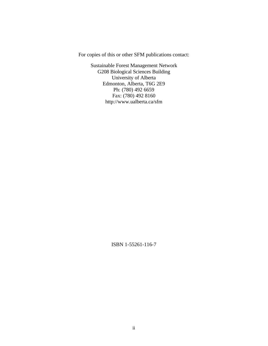For copies of this or other SFM publications contact:

Sustainable Forest Management Network G208 Biological Sciences Building University of Alberta Edmonton, Alberta, T6G 2E9 Ph: (780) 492 6659 Fax: (780) 492 8160 http://www.ualberta.ca/sfm

ISBN 1-55261-116-7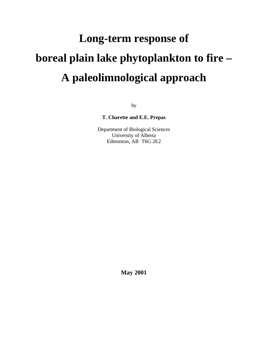# **Long-term response of boreal plain lake phytoplankton to fire – A paleolimnological approach**

by

**T. Charette and E.E. Prepas**

Department of Biological Sciences University of Alberta Edmonton, AB T6G 2E2

**May 2001**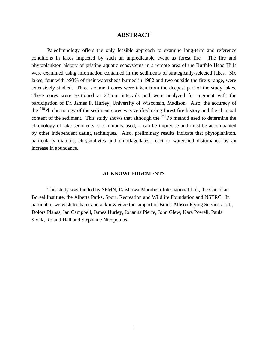### **ABSTRACT**

Paleolimnology offers the only feasible approach to examine long-term and reference conditions in lakes impacted by such an unpredictable event as forest fire. The fire and phytoplankton history of pristine aquatic ecosystems in a remote area of the Buffalo Head Hills were examined using information contained in the sediments of strategically-selected lakes. Six lakes, four with >93% of their watersheds burned in 1982 and two outside the fire's range, were extensively studied. Three sediment cores were taken from the deepest part of the study lakes. These cores were sectioned at 2.5mm intervals and were analyzed for pigment with the participation of Dr. James P. Hurley, University of Wisconsin, Madison. Also, the accuracy of the <sup>210</sup>Pb chronology of the sediment cores was verified using forest fire history and the charcoal content of the sediment. This study shows that although the  $^{210}Pb$  method used to determine the chronology of lake sediments is commonly used, it can be imprecise and must be accompanied by other independent dating techniques. Also, preliminary results indicate that phytoplankton, particularly diatoms, chrysophytes and dinoflagellates, react to watershed disturbance by an increase in abundance.

#### **ACKNOWLEDGEMENTS**

This study was funded by SFMN, Daishowa-Marubeni International Ltd., the Canadian Boreal Institute, the Alberta Parks, Sport, Recreation and Wildlife Foundation and NSERC. In particular, we wish to thank and acknowledge the support of Brock Allison Flying Services Ltd., Dolors Planas, Ian Campbell, James Hurley, Johanna Pierre, John Glew, Kara Powell, Paula Siwik, Roland Hall and Stéphanie Nicopoulos.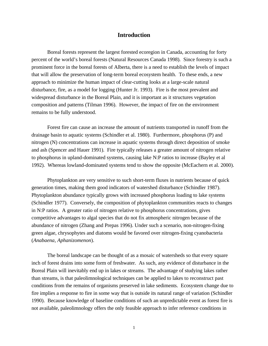# **Introduction**

Boreal forests represent the largest forested ecoregion in Canada, accounting for forty percent of the world's boreal forests (Natural Resources Canada 1998). Since forestry is such a prominent force in the boreal forests of Alberta, there is a need to establish the levels of impact that will allow the preservation of long-term boreal ecosystem health. To these ends, a new approach to minimize the human impact of clear-cutting looks at a large-scale natural disturbance, fire, as a model for logging (Hunter Jr. 1993). Fire is the most prevalent and widespread disturbance in the Boreal Plain, and it is important as it structures vegetation composition and patterns (Tilman 1996). However, the impact of fire on the environment remains to be fully understood.

Forest fire can cause an increase the amount of nutrients transported in runoff from the drainage basin to aquatic systems (Schindler et al. 1980). Furthermore, phosphorus (P) and nitrogen (N) concentrations can increase in aquatic systems through direct deposition of smoke and ash (Spencer and Hauer 1991). Fire typically releases a greater amount of nitrogen relative to phosphorus in upland-dominated systems, causing lake N:P ratios to increase (Bayley et al 1992). Whereas lowland-dominated systems tend to show the opposite (McEachern et al. 2000).

Phytoplankton are very sensitive to such short-term fluxes in nutrients because of quick generation times, making them good indicators of watershed disturbance (Schindler 1987). Phytoplankton abundance typically grows with increased phosphorus loading to lake systems (Schindler 1977). Conversely, the composition of phytoplankton communities reacts to changes in N:P ratios. A greater ratio of nitrogen relative to phosphorus concentrations, gives competitive advantages to algal species that do not fix atmospheric nitrogen because of the abundance of nitrogen (Zhang and Prepas 1996). Under such a scenario, non-nitrogen-fixing green algae, chrysophytes and diatoms would be favored over nitrogen-fixing cyanobacteria (*Anabaena*, *Aphanizomenon*).

The boreal landscape can be thought of as a mosaic of watersheds so that every square inch of forest drains into some form of freshwater. As such, any evidence of disturbance in the Boreal Plain will inevitably end up in lakes or streams. The advantage of studying lakes rather than streams, is that paleolimnological techniques can be applied to lakes to reconstruct past conditions from the remains of organisms preserved in lake sediments. Ecosystem change due to fire implies a response to fire in some way that is outside its natural range of variation (Schindler 1990). Because knowledge of baseline conditions of such an unpredictable event as forest fire is not available, paleolimnology offers the only feasible approach to infer reference conditions in

1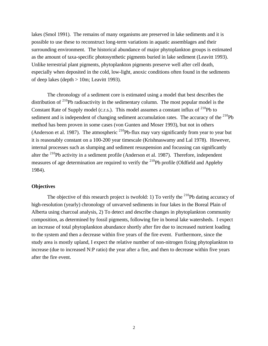lakes (Smol 1991). The remains of many organisms are preserved in lake sediments and it is possible to use these to reconstruct long-term variations in aquatic assemblages and their surrounding environment. The historical abundance of major phytoplankton groups is estimated as the amount of taxa-specific photosynthetic pigments buried in lake sediment (Leavitt 1993). Unlike terrestrial plant pigments, phytoplankton pigments preserve well after cell death, especially when deposited in the cold, low-light, anoxic conditions often found in the sediments of deep lakes (depth > 10m; Leavitt 1993).

The chronology of a sediment core is estimated using a model that best describes the distribution of  $^{210}Pb$  radioactivity in the sedimentary column. The most popular model is the Constant Rate of Supply model (c.r.s.). This model assumes a constant influx of  $^{210}Pb$  to sediment and is independent of changing sediment accumulation rates. The accuracy of the  $^{210}Pb$ method has been proven in some cases (von Gunten and Moser 1993), but not in others (Anderson et al. 1987). The atmospheric  $^{210}$ Pb-flux may vary significantly from year to year but it is reasonably constant on a 100-200 year timescale (Krishnaswamy and Lal 1978). However, internal processes such as slumping and sediment resuspension and focussing can significantly alter the  $^{210}$ Pb activity in a sediment profile (Anderson et al. 1987). Therefore, independent measures of age determination are required to verify the  $^{210}Pb$  profile (Oldfield and Appleby 1984).

#### **Objectives**

The objective of this research project is twofold: 1) To verify the <sup>210</sup>Pb dating accuracy of high-resolution (yearly) chronology of unvarved sediments in four lakes in the Boreal Plain of Alberta using charcoal analysis, 2) To detect and describe changes in phytoplankton community composition, as determined by fossil pigments, following fire in boreal lake watersheds. I expect an increase of total phytoplankton abundance shortly after fire due to increased nutrient loading to the system and then a decrease within five years of the fire event. Furthermore, since the study area is mostly upland, I expect the relative number of non-nitrogen fixing phytoplankton to increase (due to increased N:P ratio) the year after a fire, and then to decrease within five years after the fire event.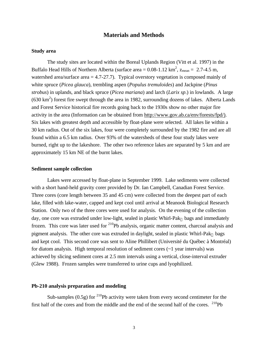# **Materials and Methods**

#### **Study area**

The study sites are located within the Boreal Uplands Region (Vitt et al. 1997) in the Buffalo Head Hills of Northern Alberta (surface area =  $0.08$ -1.12 km<sup>2</sup>, z<sub>mean</sub> = 2.7-4.5 m, watershed area/surface area  $= 4.7-27.7$ ). Typical overstory vegetation is composed mainly of white spruce (*Picea glauca*), trembling aspen (*Populus tremuloides*) and Jackpine (*Pinus strobus*) in uplands, and black spruce (*Picea mariana*) and larch (*Larix sp*.) in lowlands. A large  $(630 \text{ km}^2)$  forest fire swept through the area in 1982, surrounding dozens of lakes. Alberta Lands and Forest Service historical fire records going back to the 1930s show no other major fire activity in the area (Information can be obtained from http://www.gov.ab.ca/env/forests/fpd/). Six lakes with greatest depth and accessible by float-plane were selected. All lakes lie within a 30 km radius. Out of the six lakes, four were completely surrounded by the 1982 fire and are all found within a 6.5 km radius. Over 93% of the watersheds of these four study lakes were burned, right up to the lakeshore. The other two reference lakes are separated by 5 km and are approximately 15 km NE of the burnt lakes.

#### **Sediment sample collection**

Lakes were accessed by float-plane in September 1999. Lake sediments were collected with a short hand-held gravity corer provided by Dr. Ian Campbell, Canadian Forest Service. Three cores (core length between 35 and 45 cm) were collected from the deepest part of each lake, filled with lake-water, capped and kept cool until arrival at Meanook Biological Research Station. Only two of the three cores were used for analysis. On the evening of the collection day, one core was extruded under low-light, sealed in plastic Whirl-Pak<sub>®</sub> bags and immediately frozen. This core was later used for <sup>210</sup>Pb analysis, organic matter content, charcoal analysis and pigment analysis. The other core was extruded in daylight, sealed in plastic Whirl-Pak<sub>®</sub> bags and kept cool. This second core was sent to Aline Phillibert (Université du Québec à Montréal) for diatom analysis. High temporal resolution of sediment cores (~1 year intervals) was achieved by slicing sediment cores at 2.5 mm intervals using a vertical, close-interval extruder (Glew 1988). Frozen samples were transferred to urine cups and lyophilized.

#### **Pb-210 analysis preparation and modeling**

Sub-samples (0.5g) for <sup>210</sup>Pb activity were taken from every second centimeter for the first half of the cores and from the middle and the end of the second half of the cores.  $^{210}Pb$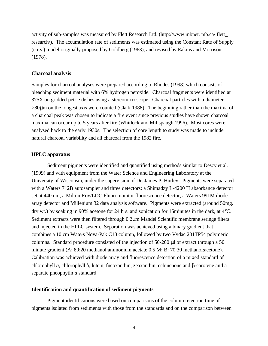activity of sub-samples was measured by Flett Research Ltd. (http://www.mbnet. mb.ca/ flett\_ research/). The accumulation rate of sediments was estimated using the Constant Rate of Supply (c.r.s.) model originally proposed by Goldberg (1963), and revised by Eakins and Morrison (1978).

# **Charcoal analysis**

Samples for charcoal analyses were prepared according to Rhodes (1998) which consists of bleaching sediment material with 6% hydrogen peroxide. Charcoal fragments were identified at 375X on gridded petrie dishes using a stereomicroscope. Charcoal particles with a diameter >80μm on the longest axis were counted (Clark 1988). The beginning rather than the maxima of a charcoal peak was chosen to indicate a fire event since previous studies have shown charcoal maxima can occur up to 5 years after fire (Whitlock and Millspaugh 1996). Most cores were analysed back to the early 1930s. The selection of core length to study was made to include natural charcoal variability and all charcoal from the 1982 fire.

#### **HPLC apparatus**

Sediment pigments were identified and quantified using methods similar to Descy et al. (1999) and with equipment from the Water Science and Engineering Laboratory at the University of Wisconsin, under the supervision of Dr. James P. Hurley. Pigments were separated with a Waters 712B autosampler and three detectors: a Shimadzy L-4200 H absorbance detector set at 440 nm, a Milton Roy/LDC Fluoromonitor fluorescence detector, a Waters 991M diode array detector and Millenium 32 data analysis software. Pigments were extracted (around 50mg. dry wt.) by soaking in 90% acetone for 24 hrs. and sonication for 15minutes in the dark, at 4°C. Sediment extracts were then filtered through 0.2μm Mandel Scientific membrane seringe filters and injected in the HPLC system. Separation was achieved using a binary gradient that combines a 10 cm Waters Nova-Pak C18 column, followed by two Vydac 201TP54 polymeric columns. Standard procedure consisted of the injection of 50-200 μl of extract through a 50 minute gradient (A: 80:20 methanol:ammonium acetate 0.5 M; B: 70:30 methanol:acetone). Calibration was achieved with diode array and fluorescence detection of a mixed standard of chlorophyll *a*, chlorophyll *b*, lutein, fucoxanthin, zeaxanthin, echinenone and β-carotene and a separate pheophytin *a* standard.

#### **Identification and quantification of sediment pigments**

Pigment identifications were based on comparisons of the column retention time of pigments isolated from sediments with those from the standards and on the comparison between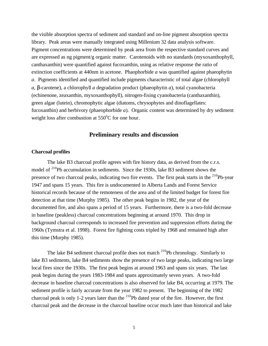the visible absorption spectra of sediment and standard and on-line pigment absorption spectra library. Peak areas were manually integrated using Millenium 32 data analysis software. Pigment concentrations were determined by peak area from the respective standard curves and are expressed as ng pigment/g organic matter. Carotenoids with no standards (myxoxanthophyll, canthaxanthin) were quantified against fucoxanthin, using as relative response the ratio of extinction coefficients at 440nm in acetone. Phaophorbide *a* was quantified against phaeophytin *a*. Pigments identified and quantified include pigments characteristic of total algae (chlorophyll *a*, *b*-carotene), a chlorophyll *a* degradation product (phaeophytin *a*), total cyanobacteria (echinenone, zeaxanthin, myxoxanthophyll), nitrogen-fixing cyanobacteria (canthaxanthin), green algae (lutein), chromophytic algae (diatoms, chrysophytes and dinoflagellates: fucoxanthin) and herbivory (phaeophorbide *a*). Organic content was determined by dry sediment weight loss after combustion at  $550^{\circ}$ C for one hour.

# **Preliminary results and discussion**

#### **Charcoal profiles**

The lake B3 charcoal profile agrees with fire history data, as derived from the c.r.s. model of <sup>210</sup>Pb accumulation in sediments. Since the 1930s, lake B3 sediment shows the presence of two charcoal peaks, indicating two fire events. The first peak starts in the <sup>210</sup>Pb-year 1947 and spans 15 years. This fire is undocumented in Alberta Lands and Forest Service historical records because of the remoteness of the area and of the limited budget for forest fire detection at that time (Murphy 1985). The other peak begins in 1982, the year of the documented fire, and also spans a period of 15 years. Furthermore, there is a two-fold decrease in baseline (peakless) charcoal concentrations beginning at around 1970. This drop in background charcoal corresponds to increased fire prevention and suppression efforts during the 1960s (Tymstra et al. 1998). Forest fire fighting costs tripled by 1968 and remained high after this time (Murphy 1985).

The lake B4 sediment charcoal profile does not match <sup>210</sup>Pb chronology. Similarly to lake B3 sediments, lake B4 sediments show the presence of two large peaks, indicating two large local fires since the 1930s. The first peak begins at around 1963 and spans six years. The last peak begins during the years 1983-1984 and spans approximately seven years. A two-fold decrease in baseline charcoal concentrations is also observed for lake B4, occurring at 1979. The sediment profile is fairly accurate from the year 1982 to present. The beginning of the 1982 charcoal peak is only 1-2 years later than the  $^{210}Pb$  dated year of the fire. However, the first charcoal peak and the decrease in the charcoal baseline occur much later than historical and lake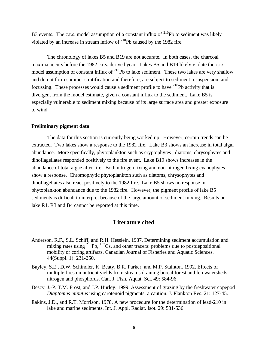B3 events. The c.r.s. model assumption of a constant influx of  $^{210}Pb$  to sediment was likely violated by an increase in stream inflow of  $^{210}$ Pb caused by the 1982 fire.

The chronology of lakes B5 and B19 are not accurate. In both cases, the charcoal maxima occurs before the 1982 c.r.s. derived year. Lakes B5 and B19 likely violate the c.r.s. model assumption of constant influx of  $^{210}Pb$  to lake sediment. These two lakes are very shallow and do not form summer stratification and therefore, are subject to sediment resuspension, and focussing. These processes would cause a sediment profile to have  $^{210}Pb$  activity that is divergent from the model estimate, given a constant influx to the sediment. Lake B5 is especially vulnerable to sediment mixing because of its large surface area and greater exposure to wind.

#### **Preliminary pigment data**

The data for this section is currently being worked up. However, certain trends can be extracted. Two lakes show a response to the 1982 fire. Lake B3 shows an increase in total algal abundance. More specifically, phytoplankton such as cryptophytes , diatoms, chrysophytes and dinoflagellates responded positively to the fire event. Lake B19 shows increases in the abundance of total algae after fire. Both nitrogen fixing and non-nitrogen fixing cyanophytes show a response. Chromophytic phytoplankton such as diatoms, chrysophytes and dinoflagellates also react positively to the 1982 fire. Lake B5 shows no response in phytoplankton abundance due to the 1982 fire. However, the pigment profile of lake B5 sediments is difficult to interpret because of the large amount of sediment mixing. Results on lake R1, R3 and B4 cannot be reported at this time.

# **Literature cited**

- Anderson, R.F., S.L. Schiff, and R.H. Hesslein. 1987. Determining sediment accumulation and mixing rates using  $^{210}Pb$ ,  $^{137}Cs$ , and other tracers: problems due to postdepositional mobility or coring artifacts. Canadian Journal of Fisheries and Aquatic Sciences. 44(Suppl. 1): 231-250.
- Bayley, S.E., D.W. Schindler, K. Beaty, B.R. Parker, and M.P. Stainton. 1992. Effects of multiple fires on nutrient yields from streams draining boreal forest and fen watersheds: nitrogen and phosphorus. Can. J. Fish. Aquat. Sci. 49: 584-96.
- Descy, J.-P. T.M. Frost, and J.P. Hurley. 1999. Assessment of grazing by the freshwater copepod *Diaptomus minutus* using carotenoid pigments: a caution. J. Plankton Res. 21: 127-45.
- Eakins, J.D., and R.T. Morrison. 1978. A new procedure for the determination of lead-210 in lake and marine sediments. Int. J. Appl. Radiat. Isot. 29: 531-536.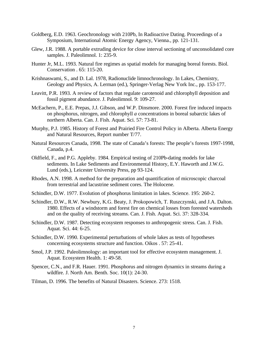- Goldberg, E.D. 1963. Geochronology with 210Pb, In Radioactive Dating. Proceedings of a Symposium, International Atomic Energy Agency, Vienna., pp. 121-131.
- Glew, J.R. 1988. A portable extruding device for close interval sectioning of unconsolidated core samples. J. Paleolimnol. 1: 235-9.
- Hunter Jr, M.L. 1993. Natural fire regimes as spatial models for managing boreal forests. Biol. Conservation . 65: 115-20.
- Krishnaswami, S., and D. Lal. 1978, Radionuclide limnochronology. In Lakes, Chemistry, Geology and Physics, A. Lerman (ed.), Springer-Verlag New York Inc., pp. 153-177.
- Leavitt, P.R. 1993. A review of factors that regulate carotenoid and chlorophyll deposition and fossil pigment abundance. J. Paleolimnol. 9: 109-27.
- McEachern, P., E.E. Prepas, J.J. Gibson, and W.P. Dinsmore. 2000. Forest fire induced impacts on phosphorus, nitrogen, and chlorophyll *a* concentrations in boreal subarctic lakes of northern Alberta. Can. J. Fish. Aquat. Sci. 57: 73-81.
- Murphy, P.J. 1985. History of Forest and Prairied Fire Control Policy in Alberta. Alberta Energy and Natural Resources, Report number T/77.
- Natural Resources Canada, 1998. The state of Canada's forests: The people's forests 1997-1998, Canada, p.4.
- Oldfield, F., and P.G. Appleby. 1984. Empirical testing of 210Pb-dating models for lake sediments. In Lake Sediments and Environmental History, E.Y. Haworth and J.W.G. Lund (eds.), Leicester University Press, pp 93-124.
- Rhodes, A.N. 1998. A method for the preparation and quantification of microscopic charcoal from terrestrial and lacustrine sediment cores. The Holocene.
- Schindler, D.W. 1977. Evolution of phosphorus limitation in lakes. Science. 195: 260-2.
- Schindler, D.W., R.W. Newbury, K.G. Beaty, J. Prokopowich, T. Ruszczynski, and J.A. Dalton. 1980. Effects of a windstorm and forest fire on chemical losses from forested watersheds and on the quality of receiving streams. Can. J. Fish. Aquat. Sci. 37: 328-334.
- Schindler, D.W. 1987. Detecting ecosystem responses to anthropogenic stress. Can. J. Fish. Aquat. Sci. 44: 6-25.
- Schindler, D.W. 1990. Experimental perturbations of whole lakes as tests of hypotheses concerning ecosystems structure and function. Oikos . 57: 25-41.
- Smol, J.P. 1992. Paleolimnology: an important tool for effective ecosystem management. J. Aquat. Ecosystem Health. 1: 49-58.
- Spencer, C.N., and F.R. Hauer. 1991. Phosphorus and nitrogen dynamics in streams during a wildfire. J. North Am. Benth. Soc. 10(1): 24-30.
- Tilman, D. 1996. The benefits of Natural Disasters. Science. 273: 1518.